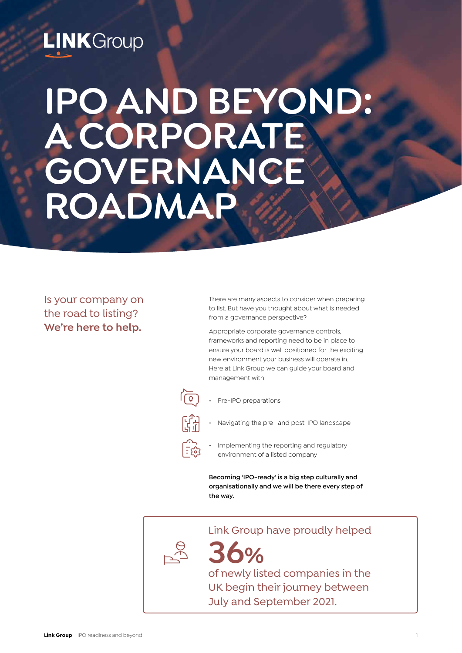## **LINK** Group

# **IPO AND BEYOND: A CORPORATE GOVERNANCE ROADMAP**

## Is your company on the road to listing? **We're here to help.**

There are many aspects to consider when preparing to list. But have you thought about what is needed from a governance perspective?

Appropriate corporate governance controls, frameworks and reporting need to be in place to ensure your board is well positioned for the exciting new environment your business will operate in. Here at Link Group we can guide your board and management with:



|= ကိ

- Pre-IPO preparations
- Navigating the pre- and post-IPO landscape
	- Implementing the reporting and regulatory environment of a listed company

**Becoming 'IPO-ready' is a big step culturally and organisationally and we will be there every step of the way.**

Link Group have proudly helped

**36%** of newly listed companies in the UK begin their journey between

July and September 2021.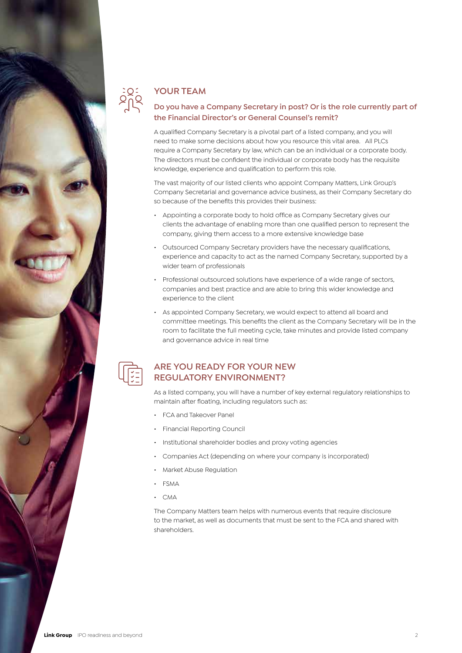

## **YOUR TEAM**

## **Do you have a Company Secretary in post? Or is the role currently part of the Financial Director's or General Counsel's remit?**

A qualified Company Secretary is a pivotal part of a listed company, and you will need to make some decisions about how you resource this vital area. All PLCs require a Company Secretary by law, which can be an individual or a corporate body. The directors must be confident the individual or corporate body has the requisite knowledge, experience and qualification to perform this role.

The vast majority of our listed clients who appoint Company Matters, Link Group's Company Secretarial and governance advice business, as their Company Secretary do so because of the benefits this provides their business:

- Appointing a corporate body to hold office as Company Secretary gives our clients the advantage of enabling more than one qualified person to represent the company, giving them access to a more extensive knowledge base
- Outsourced Company Secretary providers have the necessary qualifications, experience and capacity to act as the named Company Secretary, supported by a wider team of professionals
- Professional outsourced solutions have experience of a wide range of sectors, companies and best practice and are able to bring this wider knowledge and experience to the client
- As appointed Company Secretary, we would expect to attend all board and committee meetings. This benefits the client as the Company Secretary will be in the room to facilitate the full meeting cycle, take minutes and provide listed company and governance advice in real time

**ARE YOU READY FOR YOUR NEW REGULATORY ENVIRONMENT?**

As a listed company, you will have a number of key external regulatory relationships to maintain after floating, including regulators such as:

- FCA and Takeover Panel
- Financial Reporting Council
- Institutional shareholder bodies and proxy voting agencies
- Companies Act (depending on where your company is incorporated)
- Market Abuse Regulation
- FSMA
- $CMA$

The Company Matters team helps with numerous events that require disclosure to the market, as well as documents that must be sent to the FCA and shared with shareholders.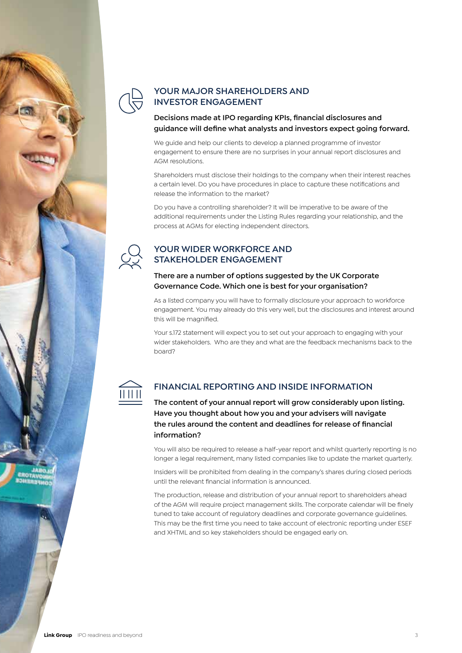

## **YOUR MAJOR SHAREHOLDERS AND INVESTOR ENGAGEMENT**

**Decisions made at IPO regarding KPIs, financial disclosures and guidance will define what analysts and investors expect going forward.** 

We guide and help our clients to develop a planned programme of investor engagement to ensure there are no surprises in your annual report disclosures and AGM resolutions.

Shareholders must disclose their holdings to the company when their interest reaches a certain level. Do you have procedures in place to capture these notifications and release the information to the market?

Do you have a controlling shareholder? It will be imperative to be aware of the additional requirements under the Listing Rules regarding your relationship, and the process at AGMs for electing independent directors.

## **YOUR WIDER WORKFORCE AND STAKEHOLDER ENGAGEMENT**

## **There are a number of options suggested by the UK Corporate Governance Code. Which one is best for your organisation?**

As a listed company you will have to formally disclosure your approach to workforce engagement. You may already do this very well, but the disclosures and interest around this will be magnified.

Your s.172 statement will expect you to set out your approach to engaging with your wider stakeholders. Who are they and what are the feedback mechanisms back to the board?



## **FINANCIAL REPORTING AND INSIDE INFORMATION**

**The content of your annual report will grow considerably upon listing. Have you thought about how you and your advisers will navigate the rules around the content and deadlines for release of financial information?**

You will also be required to release a half-year report and whilst quarterly reporting is no longer a legal requirement, many listed companies like to update the market quarterly.

Insiders will be prohibited from dealing in the company's shares during closed periods until the relevant financial information is announced.

The production, release and distribution of your annual report to shareholders ahead of the AGM will require project management skills. The corporate calendar will be finely tuned to take account of regulatory deadlines and corporate governance guidelines. This may be the first time you need to take account of electronic reporting under ESEF and XHTML and so key stakeholders should be engaged early on.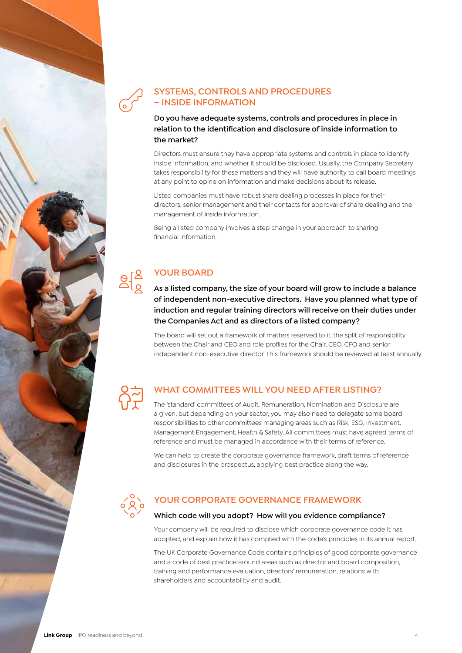

## **SYSTEMS, CONTROLS AND PROCEDURES – INSIDE INFORMATION**

**Do you have adequate systems, controls and procedures in place in relation to the identification and disclosure of inside information to the market?** 

Directors must ensure they have appropriate systems and controls in place to identify inside information, and whether it should be disclosed. Usually, the Company Secretary takes responsibility for these matters and they will have authority to call board meetings at any point to opine on information and make decisions about its release.

Listed companies must have robust share dealing processes in place for their directors, senior management and their contacts for approval of share dealing and the management of inside information.

Being a listed company involves a step change in your approach to sharing financial information.

## **YOUR BOARD**

**As a listed company, the size of your board will grow to include a balance of independent non-executive directors. Have you planned what type of induction and regular training directors will receive on their duties under the Companies Act and as directors of a listed company?**

The board will set out a framework of matters reserved to it, the split of responsibility between the Chair and CEO and role profiles for the Chair, CEO, CFO and senior independent non-executive director. This framework should be reviewed at least annually.

## **WHAT COMMITTEES WILL YOU NEED AFTER LISTING?**

The 'standard' committees of Audit, Remuneration, Nomination and Disclosure are a given, but depending on your sector, you may also need to delegate some board responsibilities to other committees managing areas such as Risk, ESG, Investment, Management Engagement, Health & Safety. All committees must have agreed terms of reference and must be managed in accordance with their terms of reference.

We can help to create the corporate governance framework, draft terms of reference and disclosures in the prospectus, applying best practice along the way.



## **YOUR CORPORATE GOVERNANCE FRAMEWORK**

## **Which code will you adopt? How will you evidence compliance?**

Your company will be required to disclose which corporate governance code it has adopted, and explain how it has complied with the code's principles in its annual report.

The UK Corporate Governance Code contains principles of good corporate governance and a code of best practice around areas such as director and board composition, training and performance evaluation, directors' remuneration, relations with shareholders and accountability and audit.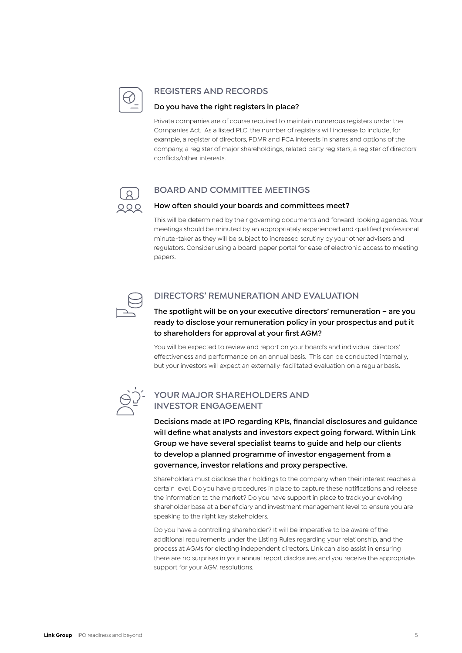

## **REGISTERS AND RECORDS**

## **Do you have the right registers in place?**

Private companies are of course required to maintain numerous registers under the Companies Act. As a listed PLC, the number of registers will increase to include, for example, a register of directors, PDMR and PCA interests in shares and options of the company, a register of major shareholdings, related party registers, a register of directors' conflicts/other interests.



## **BOARD AND COMMITTEE MEETINGS**

## **How often should your boards and committees meet?**

This will be determined by their governing documents and forward-looking agendas. Your meetings should be minuted by an appropriately experienced and qualified professional minute-taker as they will be subject to increased scrutiny by your other advisers and regulators. Consider using a board-paper portal for ease of electronic access to meeting papers.



## **DIRECTORS' REMUNERATION AND EVALUATION**

**The spotlight will be on your executive directors' remuneration – are you ready to disclose your remuneration policy in your prospectus and put it to shareholders for approval at your first AGM?**

You will be expected to review and report on your board's and individual directors' effectiveness and performance on an annual basis. This can be conducted internally, but your investors will expect an externally-facilitated evaluation on a regular basis.



## **YOUR MAJOR SHAREHOLDERS AND INVESTOR ENGAGEMENT**

**Decisions made at IPO regarding KPIs, financial disclosures and guidance will define what analysts and investors expect going forward. Within Link Group we have several specialist teams to guide and help our clients to develop a planned programme of investor engagement from a governance, investor relations and proxy perspective.** 

Shareholders must disclose their holdings to the company when their interest reaches a certain level. Do you have procedures in place to capture these notifications and release the information to the market? Do you have support in place to track your evolving shareholder base at a beneficiary and investment management level to ensure you are speaking to the right key stakeholders.

Do you have a controlling shareholder? It will be imperative to be aware of the additional requirements under the Listing Rules regarding your relationship, and the process at AGMs for electing independent directors. Link can also assist in ensuring there are no surprises in your annual report disclosures and you receive the appropriate support for your AGM resolutions.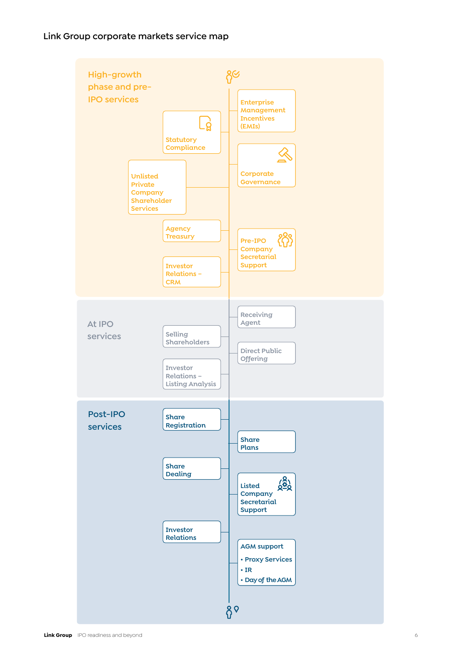